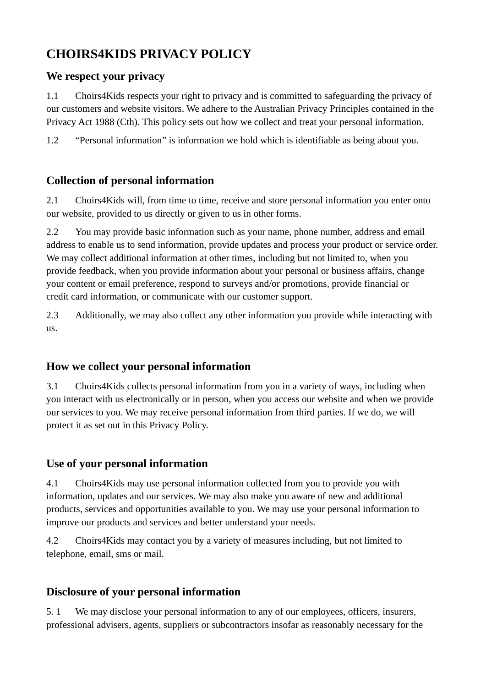# **CHOIRS4KIDS PRIVACY POLICY**

#### **We respect your privacy**

1.1 Choirs4Kids respects your right to privacy and is committed to safeguarding the privacy of our customers and website visitors. We adhere to the Australian Privacy Principles contained in the Privacy Act 1988 (Cth). This policy sets out how we collect and treat your personal information.

1.2 "Personal information" is information we hold which is identifiable as being about you.

## **Collection of personal information**

2.1 Choirs4Kids will, from time to time, receive and store personal information you enter onto our website, provided to us directly or given to us in other forms.

2.2 You may provide basic information such as your name, phone number, address and email address to enable us to send information, provide updates and process your product or service order. We may collect additional information at other times, including but not limited to, when you provide feedback, when you provide information about your personal or business affairs, change your content or email preference, respond to surveys and/or promotions, provide financial or credit card information, or communicate with our customer support.

2.3 Additionally, we may also collect any other information you provide while interacting with us.

## **How we collect your personal information**

3.1 Choirs4Kids collects personal information from you in a variety of ways, including when you interact with us electronically or in person, when you access our website and when we provide our services to you. We may receive personal information from third parties. If we do, we will protect it as set out in this Privacy Policy.

## **Use of your personal information**

4.1 Choirs4Kids may use personal information collected from you to provide you with information, updates and our services. We may also make you aware of new and additional products, services and opportunities available to you. We may use your personal information to improve our products and services and better understand your needs.

4.2 Choirs4Kids may contact you by a variety of measures including, but not limited to telephone, email, sms or mail.

## **Disclosure of your personal information**

5. 1 We may disclose your personal information to any of our employees, officers, insurers, professional advisers, agents, suppliers or subcontractors insofar as reasonably necessary for the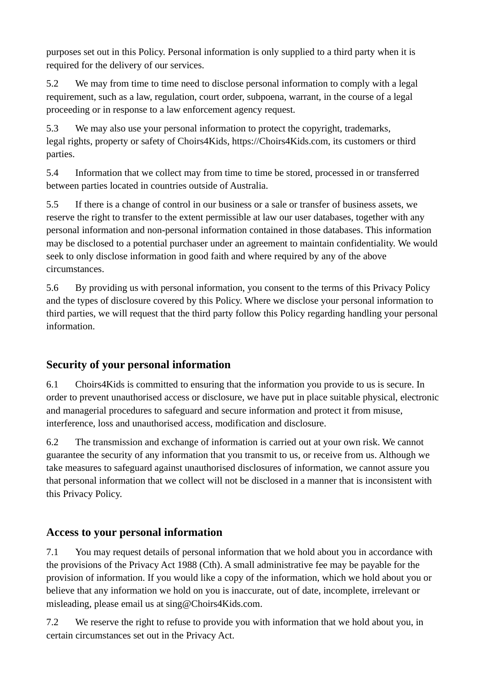purposes set out in this Policy. Personal information is only supplied to a third party when it is required for the delivery of our services.

5.2 We may from time to time need to disclose personal information to comply with a legal requirement, such as a law, regulation, court order, subpoena, warrant, in the course of a legal proceeding or in response to a law enforcement agency request.

5.3 We may also use your personal information to protect the copyright, trademarks, legal rights, property or safety of Choirs4Kids, https://Choirs4Kids.com, its customers or third parties.

5.4 Information that we collect may from time to time be stored, processed in or transferred between parties located in countries outside of Australia.

5.5 If there is a change of control in our business or a sale or transfer of business assets, we reserve the right to transfer to the extent permissible at law our user databases, together with any personal information and non-personal information contained in those databases. This information may be disclosed to a potential purchaser under an agreement to maintain confidentiality. We would seek to only disclose information in good faith and where required by any of the above circumstances.

5.6 By providing us with personal information, you consent to the terms of this Privacy Policy and the types of disclosure covered by this Policy. Where we disclose your personal information to third parties, we will request that the third party follow this Policy regarding handling your personal information.

# **Security of your personal information**

6.1 Choirs4Kids is committed to ensuring that the information you provide to us is secure. In order to prevent unauthorised access or disclosure, we have put in place suitable physical, electronic and managerial procedures to safeguard and secure information and protect it from misuse, interference, loss and unauthorised access, modification and disclosure.

6.2 The transmission and exchange of information is carried out at your own risk. We cannot guarantee the security of any information that you transmit to us, or receive from us. Although we take measures to safeguard against unauthorised disclosures of information, we cannot assure you that personal information that we collect will not be disclosed in a manner that is inconsistent with this Privacy Policy.

## **Access to your personal information**

7.1 You may request details of personal information that we hold about you in accordance with the provisions of the Privacy Act 1988 (Cth). A small administrative fee may be payable for the provision of information. If you would like a copy of the information, which we hold about you or believe that any information we hold on you is inaccurate, out of date, incomplete, irrelevant or misleading, please email us at sing@Choirs4Kids.com.

7.2 We reserve the right to refuse to provide you with information that we hold about you, in certain circumstances set out in the Privacy Act.